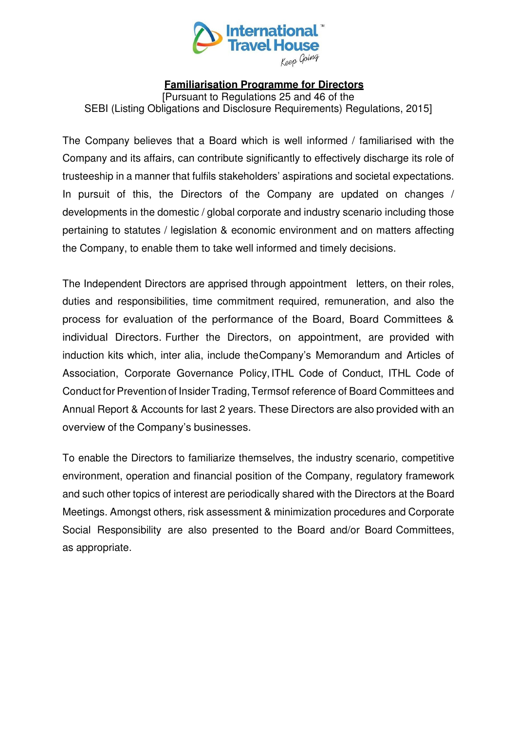

## **Familiarisation Programme for Directors**

[Pursuant to Regulations 25 and 46 of the SEBI (Listing Obligations and Disclosure Requirements) Regulations, 2015]

The Company believes that a Board which is well informed / familiarised with the Company and its affairs, can contribute significantly to effectively discharge its role of trusteeship in a manner that fulfils stakeholders' aspirations and societal expectations. In pursuit of this, the Directors of the Company are updated on changes / developments in the domestic / global corporate and industry scenario including those pertaining to statutes / legislation & economic environment and on matters affecting the Company, to enable them to take well informed and timely decisions.

The Independent Directors are apprised through appointment letters, on their roles, duties and responsibilities, time commitment required, remuneration, and also the process for evaluation of the performance of the Board, Board Committees & individual Directors. Further the Directors, on appointment, are provided with induction kits which, inter alia, include the Company's Memorandum and Articles of Association, Corporate Governance Policy, ITHL Code of Conduct, ITHL Code of Conduct for Prevention of Insider Trading, Terms of reference of Board Committees and Annual Report & Accounts for last 2 years. These Directors are also provided with an overview of the Company's businesses.

To enable the Directors to familiarize themselves, the industry scenario, competitive environment, operation and financial position of the Company, regulatory framework and such other topics of interest are periodically shared with the Directors at the Board Meetings. Amongst others, risk assessment & minimization procedures and Corporate Social Responsibility are also presented to the Board and/or Board Committees, as appropriate.